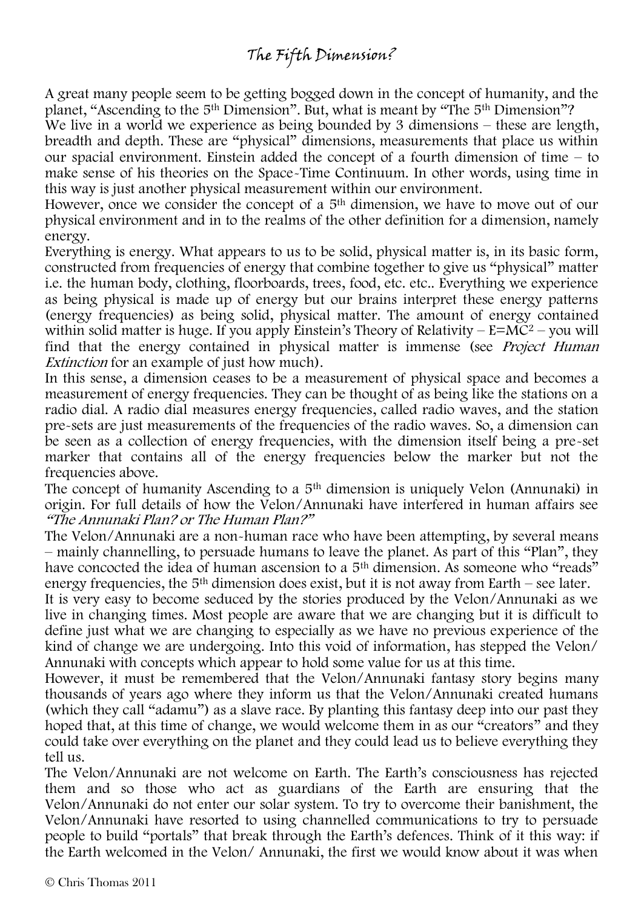## The Fifth Dimension?

A great many people seem to be getting bogged down in the concept of humanity, and the planet, "Ascending to the 5th Dimension". But, what is meant by "The 5th Dimension"?

We live in a world we experience as being bounded by 3 dimensions – these are length, breadth and depth. These are "physical" dimensions, measurements that place us within our spacial environment. Einstein added the concept of a fourth dimension of time – to make sense of his theories on the Space-Time Continuum. In other words, using time in this way is just another physical measurement within our environment.

However, once we consider the concept of a 5<sup>th</sup> dimension, we have to move out of our physical environment and in to the realms of the other definition for a dimension, namely energy.

Everything is energy. What appears to us to be solid, physical matter is, in its basic form, constructed from frequencies of energy that combine together to give us "physical" matter i.e. the human body, clothing, floorboards, trees, food, etc. etc.. Everything we experience as being physical is made up of energy but our brains interpret these energy patterns (energy frequencies) as being solid, physical matter. The amount of energy contained within solid matter is huge. If you apply Einstein's Theory of Relativity –  $E=MC^2$  – you will find that the energy contained in physical matter is immense (see *Project Human* Extinction for an example of just how much).

In this sense, a dimension ceases to be a measurement of physical space and becomes a measurement of energy frequencies. They can be thought of as being like the stations on a radio dial. A radio dial measures energy frequencies, called radio waves, and the station pre-sets are just measurements of the frequencies of the radio waves. So, a dimension can be seen as a collection of energy frequencies, with the dimension itself being a pre-set marker that contains all of the energy frequencies below the marker but not the frequencies above.

The concept of humanity Ascending to a 5th dimension is uniquely Velon (Annunaki) in origin. For full details of how the Velon/Annunaki have interfered in human affairs see "The Annunaki Plan? or The Human Plan?"

The Velon/Annunaki are a non-human race who have been attempting, by several means – mainly channelling, to persuade humans to leave the planet. As part of this "Plan", they have concocted the idea of human ascension to a 5<sup>th</sup> dimension. As someone who "reads" energy frequencies, the  $5<sup>th</sup>$  dimension does exist, but it is not away from Earth – see later.

It is very easy to become seduced by the stories produced by the Velon/Annunaki as we live in changing times. Most people are aware that we are changing but it is difficult to define just what we are changing to especially as we have no previous experience of the kind of change we are undergoing. Into this void of information, has stepped the Velon/ Annunaki with concepts which appear to hold some value for us at this time.

However, it must be remembered that the Velon/Annunaki fantasy story begins many thousands of years ago where they inform us that the Velon/Annunaki created humans (which they call "adamu") as a slave race. By planting this fantasy deep into our past they hoped that, at this time of change, we would welcome them in as our "creators" and they could take over everything on the planet and they could lead us to believe everything they tell us.

The Velon/Annunaki are not welcome on Earth. The Earth's consciousness has rejected them and so those who act as guardians of the Earth are ensuring that the Velon/Annunaki do not enter our solar system. To try to overcome their banishment, the Velon/Annunaki have resorted to using channelled communications to try to persuade people to build "portals" that break through the Earth's defences. Think of it this way: if the Earth welcomed in the Velon/ Annunaki, the first we would know about it was when